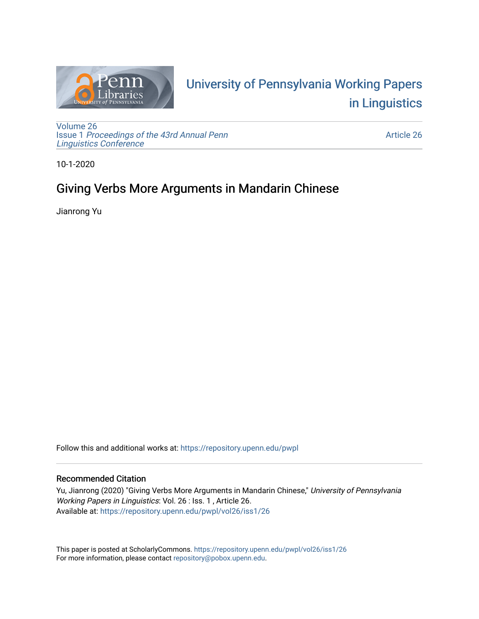

# University of P[ennsylvania Working P](https://repository.upenn.edu/pwpl)apers [in Linguistics](https://repository.upenn.edu/pwpl)

[Volume 26](https://repository.upenn.edu/pwpl/vol26) Issue 1 [Proceedings of the 43rd Annual Penn](https://repository.upenn.edu/pwpl/vol26/iss1) [Linguistics Conference](https://repository.upenn.edu/pwpl/vol26/iss1) 

[Article 26](https://repository.upenn.edu/pwpl/vol26/iss1/26) 

10-1-2020

# Giving Verbs More Arguments in Mandarin Chinese

Jianrong Yu

Follow this and additional works at: [https://repository.upenn.edu/pwpl](https://repository.upenn.edu/pwpl?utm_source=repository.upenn.edu%2Fpwpl%2Fvol26%2Fiss1%2F26&utm_medium=PDF&utm_campaign=PDFCoverPages) 

# Recommended Citation

Yu, Jianrong (2020) "Giving Verbs More Arguments in Mandarin Chinese," University of Pennsylvania Working Papers in Linguistics: Vol. 26 : Iss. 1 , Article 26. Available at: [https://repository.upenn.edu/pwpl/vol26/iss1/26](https://repository.upenn.edu/pwpl/vol26/iss1/26?utm_source=repository.upenn.edu%2Fpwpl%2Fvol26%2Fiss1%2F26&utm_medium=PDF&utm_campaign=PDFCoverPages)

This paper is posted at ScholarlyCommons.<https://repository.upenn.edu/pwpl/vol26/iss1/26> For more information, please contact [repository@pobox.upenn.edu.](mailto:repository@pobox.upenn.edu)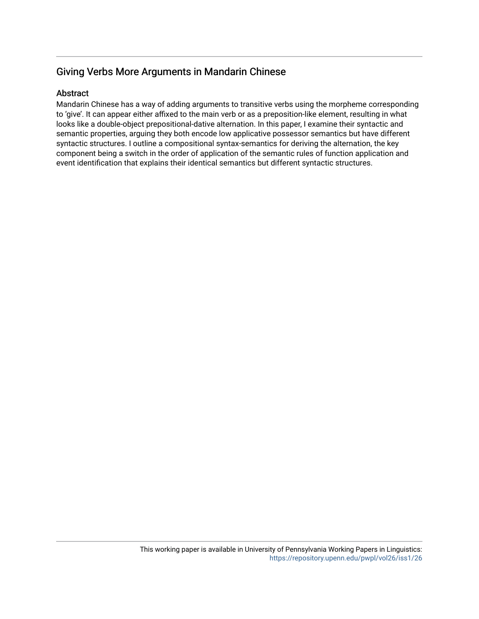# Giving Verbs More Arguments in Mandarin Chinese

# Abstract

Mandarin Chinese has a way of adding arguments to transitive verbs using the morpheme corresponding to 'give'. It can appear either affixed to the main verb or as a preposition-like element, resulting in what looks like a double-object prepositional-dative alternation. In this paper, I examine their syntactic and semantic properties, arguing they both encode low applicative possessor semantics but have different syntactic structures. I outline a compositional syntax-semantics for deriving the alternation, the key component being a switch in the order of application of the semantic rules of function application and event identification that explains their identical semantics but different syntactic structures.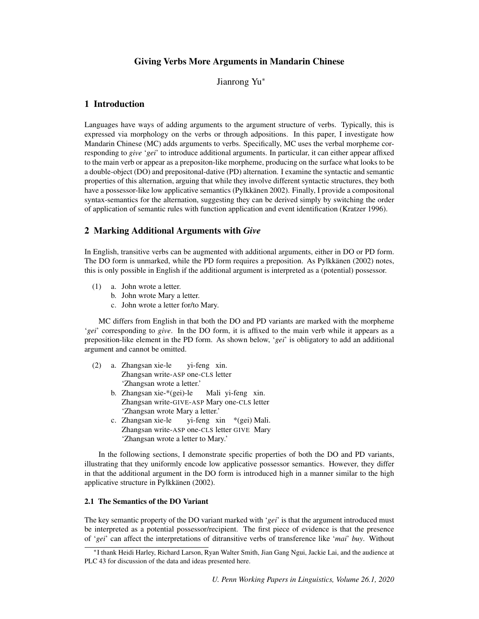# Giving Verbs More Arguments in Mandarin Chinese

Jianrong Yu<sup>∗</sup>

# 1 Introduction

Languages have ways of adding arguments to the argument structure of verbs. Typically, this is expressed via morphology on the verbs or through adpositions. In this paper, I investigate how Mandarin Chinese (MC) adds arguments to verbs. Specifically, MC uses the verbal morpheme corresponding to *give* '*gei*' to introduce additional arguments. In particular, it can either appear affixed to the main verb or appear as a prepositon-like morpheme, producing on the surface what looks to be a double-object (DO) and prepositonal-dative (PD) alternation. I examine the syntactic and semantic properties of this alternation, arguing that while they involve different syntactic structures, they both have a possessor-like low applicative semantics (Pylkkänen 2002). Finally, I provide a compositonal syntax-semantics for the alternation, suggesting they can be derived simply by switching the order of application of semantic rules with function application and event identification (Kratzer 1996).

# 2 Marking Additional Arguments with *Give*

In English, transitive verbs can be augmented with additional arguments, either in DO or PD form. The DO form is unmarked, while the PD form requires a preposition. As Pylkkänen (2002) notes, this is only possible in English if the additional argument is interpreted as a (potential) possessor.

- (1) a. John wrote a letter.
	- b. John wrote Mary a letter.
	- c. John wrote a letter for/to Mary.

MC differs from English in that both the DO and PD variants are marked with the morpheme '*gei*' corresponding to *give*. In the DO form, it is affixed to the main verb while it appears as a preposition-like element in the PD form. As shown below, '*gei*' is obligatory to add an additional argument and cannot be omitted.

- (2) a. Zhangsan xie-le Zhangsan write-ASP one-CLS letter yi-feng xin. 'Zhangsan wrote a letter.'
	- b. Zhangsan xie-\*(gei)-le Zhangsan write-GIVE-ASP Mary one-CLS letter Mali yi-feng xin. 'Zhangsan wrote Mary a letter.'
	- c. Zhangsan xie-le Zhangsan write-ASP one-CLS letter GIVE Mary yi-feng xin \*(gei) Mali. 'Zhangsan wrote a letter to Mary.'

In the following sections, I demonstrate specific properties of both the DO and PD variants, illustrating that they uniformly encode low applicative possessor semantics. However, they differ in that the additional argument in the DO form is introduced high in a manner similar to the high applicative structure in Pylkkänen (2002).

#### 2.1 The Semantics of the DO Variant

The key semantic property of the DO variant marked with '*gei*' is that the argument introduced must be interpreted as a potential possessor/recipient. The first piece of evidence is that the presence of '*gei*' can affect the interpretations of ditransitive verbs of transference like '*mai*' *buy*. Without

<sup>∗</sup> I thank Heidi Harley, Richard Larson, Ryan Walter Smith, Jian Gang Ngui, Jackie Lai, and the audience at PLC 43 for discussion of the data and ideas presented here.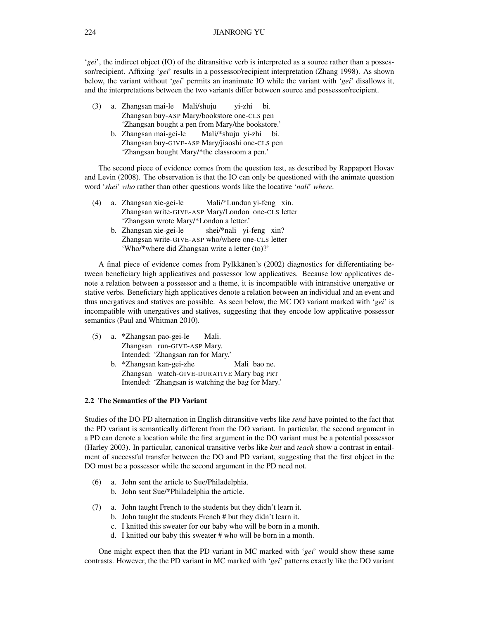'*gei*', the indirect object (IO) of the ditransitive verb is interpreted as a source rather than a possessor/recipient. Affixing '*gei*' results in a possessor/recipient interpretation (Zhang 1998). As shown below, the variant without '*gei*' permits an inanimate IO while the variant with '*gei*' disallows it, and the interpretations between the two variants differ between source and possessor/recipient.

| (3) | a. Zhangsan mai-le Mali/shuju                    |  | vi-zhi bi. |  |
|-----|--------------------------------------------------|--|------------|--|
|     | Zhangsan buy-ASP Mary/bookstore one-CLS pen      |  |            |  |
|     | 'Zhangsan bought a pen from Mary/the bookstore.' |  |            |  |
|     | b. Zhangsan mai-gei-le Mali/*shuju yi-zhi bi.    |  |            |  |
|     | Zhangsan buy-GIVE-ASP Mary/jiaoshi one-CLS pen   |  |            |  |
|     | 'Zhangsan bought Mary/*the classroom a pen.'     |  |            |  |

The second piece of evidence comes from the question test, as described by Rappaport Hovav and Levin (2008). The observation is that the IO can only be questioned with the animate question word '*shei*' *who* rather than other questions words like the locative '*nali*' *where*.

| (4) |  | a. Zhangsan xie-gei-le                                                                             | Mali/*Lundun yi-feng xin.                          |  |
|-----|--|----------------------------------------------------------------------------------------------------|----------------------------------------------------|--|
|     |  |                                                                                                    | Zhangsan write-GIVE-ASP Mary/London one-CLS letter |  |
|     |  | 'Zhangsan wrote Mary/*London a letter.'                                                            |                                                    |  |
|     |  | b. Zhangsan xie-gei-le shei/*nali yi-feng xin?                                                     |                                                    |  |
|     |  | Zhangsan write-GIVE-ASP who/where one-CLS letter<br>'Who/*where did Zhangsan write a letter (to)?' |                                                    |  |
|     |  |                                                                                                    |                                                    |  |

A final piece of evidence comes from Pylkkänen's (2002) diagnostics for differentiating between beneficiary high applicatives and possessor low applicatives. Because low applicatives denote a relation between a possessor and a theme, it is incompatible with intransitive unergative or stative verbs. Beneficiary high applicatives denote a relation between an individual and an event and thus unergatives and statives are possible. As seen below, the MC DO variant marked with '*gei*' is incompatible with unergatives and statives, suggesting that they encode low applicative possessor semantics (Paul and Whitman 2010).

- (5) a. \*Zhangsan pao-gei-le Zhangsan run-GIVE-ASP Mary. Mali. Intended: 'Zhangsan ran for Mary.' b. \*Zhangsan kan-gei-zhe
	- Zhangsan watch-GIVE-DURATIVE Mary bag PRT Mali bao ne. Intended: 'Zhangsan is watching the bag for Mary.'

#### 2.2 The Semantics of the PD Variant

Studies of the DO-PD alternation in English ditransitive verbs like *send* have pointed to the fact that the PD variant is semantically different from the DO variant. In particular, the second argument in a PD can denote a location while the first argument in the DO variant must be a potential possessor (Harley 2003). In particular, canonical transitive verbs like *knit* and *teach* show a contrast in entailment of successful transfer between the DO and PD variant, suggesting that the first object in the DO must be a possessor while the second argument in the PD need not.

- (6) a. John sent the article to Sue/Philadelphia.
	- b. John sent Sue/\*Philadelphia the article.
- (7) a. John taught French to the students but they didn't learn it.
	- b. John taught the students French # but they didn't learn it.
	- c. I knitted this sweater for our baby who will be born in a month.
	- d. I knitted our baby this sweater # who will be born in a month.

One might expect then that the PD variant in MC marked with '*gei*' would show these same contrasts. However, the the PD variant in MC marked with '*gei*' patterns exactly like the DO variant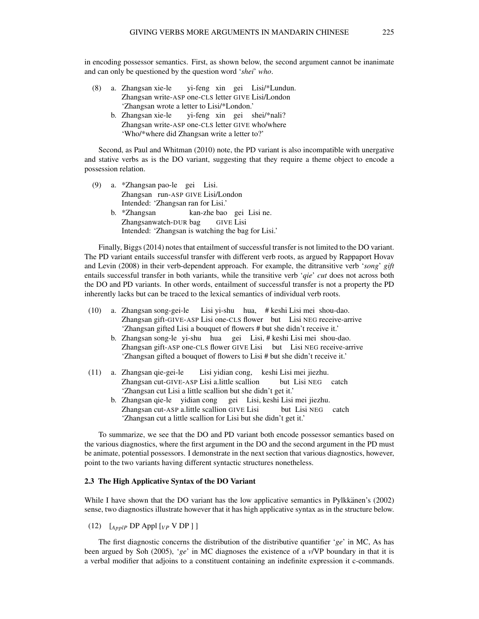in encoding possessor semantics. First, as shown below, the second argument cannot be inanimate and can only be questioned by the question word '*shei*' *who*.

- (8) a. Zhangsan xie-le Zhangsan write-ASP one-CLS letter GIVE Lisi/London yi-feng xin gei Lisi/\*Lundun. 'Zhangsan wrote a letter to Lisi/\*London.'
	- b. Zhangsan xie-le Zhangsan write-ASP one-CLS letter GIVE who/where yi-feng xin gei shei/\*nali? 'Who/\*where did Zhangsan write a letter to?'

Second, as Paul and Whitman (2010) note, the PD variant is also incompatible with unergative and stative verbs as is the DO variant, suggesting that they require a theme object to encode a possession relation.

(9) a. \*Zhangsan pao-le gei Lisi. Zhangsan run-ASP GIVE Lisi/London Intended: 'Zhangsan ran for Lisi.' b. \*Zhangsan Zhangsanwatch-DUR bag kan-zhe bao gei Lisi ne. GIVE Lisi Intended: 'Zhangsan is watching the bag for Lisi.'

Finally, Biggs (2014) notes that entailment of successful transfer is not limited to the DO variant. The PD variant entails successful transfer with different verb roots, as argued by Rappaport Hovav and Levin (2008) in their verb-dependent approach. For example, the ditransitive verb '*song*' *gift* entails successful transfer in both variants, while the transitive verb '*qie*' *cut* does not across both the DO and PD variants. In other words, entailment of successful transfer is not a property the PD inherently lacks but can be traced to the lexical semantics of individual verb roots.

- (10) a. Zhangsan song-gei-le Zhangsan gift-GIVE-ASP Lisi one-CLS flower but Lisi NEG receive-arrive Lisi yi-shu hua, # keshi Lisi mei shou-dao. 'Zhangsan gifted Lisi a bouquet of flowers # but she didn't receive it.'
	- b. Zhangsan song-le yi-shu hua gei Lisi, # keshi Lisi mei shou-dao. Zhangsan gift-ASP one-CLS flower GIVE Lisi but Lisi NEG receive-arrive 'Zhangsan gifted a bouquet of flowers to Lisi # but she didn't receive it.'
- (11) a. Zhangsan qie-gei-le Zhangsan cut-GIVE-ASP Lisi a.little scallion Lisi yidian cong, keshi Lisi mei jiezhu. but Lisi NEG catch 'Zhangsan cut Lisi a little scallion but she didn't get it.'
	- b. Zhangsan qie-le yidian cong gei Lisi, keshi Lisi mei jiezhu. Zhangsan cut-ASP a.little scallion GIVE Lisi but Lisi NEG catch 'Zhangsan cut a little scallion for Lisi but she didn't get it.'

To summarize, we see that the DO and PD variant both encode possessor semantics based on the various diagnostics, where the first argument in the DO and the second argument in the PD must be animate, potential possessors. I demonstrate in the next section that various diagnostics, however, point to the two variants having different syntactic structures nonetheless.

#### 2.3 The High Applicative Syntax of the DO Variant

While I have shown that the DO variant has the low applicative semantics in Pylkkänen's (2002) sense, two diagnostics illustrate however that it has high applicative syntax as in the structure below.

(12)  $\left[ \begin{array}{cc} \text{A} & \text{D} & \text{D} & \text{A} \\ \text{A} & \text{D} & \text{A} & \text{A} \end{array} \right]$ 

The first diagnostic concerns the distribution of the distributive quantifier '*ge*' in MC, As has been argued by Soh (2005), '*ge*' in MC diagnoses the existence of a *v*/VP boundary in that it is a verbal modifier that adjoins to a constituent containing an indefinite expression it c-commands.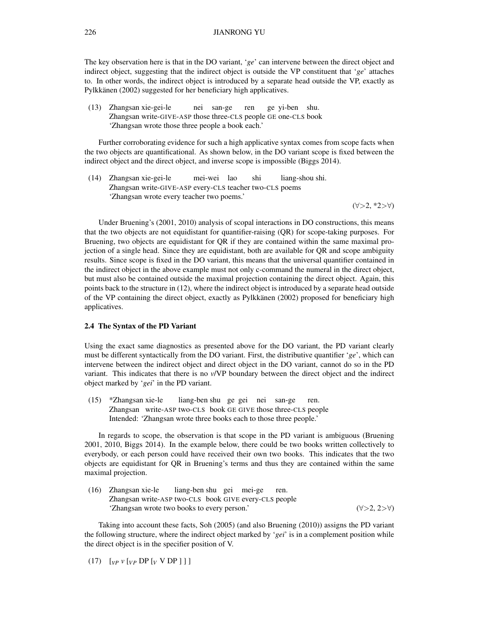The key observation here is that in the DO variant, '*ge*' can intervene between the direct object and indirect object, suggesting that the indirect object is outside the VP constituent that '*ge*' attaches to. In other words, the indirect object is introduced by a separate head outside the VP, exactly as Pylkkänen (2002) suggested for her beneficiary high applicatives.

(13) Zhangsan xie-gei-le Zhangsan write-GIVE-ASP those three-CLS people GE one-CLS book nei san-ge ren ge yi-ben shu. 'Zhangsan wrote those three people a book each.'

Further corroborating evidence for such a high applicative syntax comes from scope facts when the two objects are quantificational. As shown below, in the DO variant scope is fixed between the indirect object and the direct object, and inverse scope is impossible (Biggs 2014).

(14) Zhangsan xie-gei-le Zhangsan write-GIVE-ASP every-CLS teacher two-CLS poems mei-wei lao shi liang-shou shi. 'Zhangsan wrote every teacher two poems.'

(∀>2, \*2>∀)

Under Bruening's (2001, 2010) analysis of scopal interactions in DO constructions, this means that the two objects are not equidistant for quantifier-raising (QR) for scope-taking purposes. For Bruening, two objects are equidistant for QR if they are contained within the same maximal projection of a single head. Since they are equidistant, both are available for QR and scope ambiguity results. Since scope is fixed in the DO variant, this means that the universal quantifier contained in the indirect object in the above example must not only c-command the numeral in the direct object, but must also be contained outside the maximal projection containing the direct object. Again, this points back to the structure in (12), where the indirect object is introduced by a separate head outside of the VP containing the direct object, exactly as Pylkkanen (2002) proposed for beneficiary high ¨ applicatives.

#### 2.4 The Syntax of the PD Variant

Using the exact same diagnostics as presented above for the DO variant, the PD variant clearly must be different syntactically from the DO variant. First, the distributive quantifier '*ge*', which can intervene between the indirect object and direct object in the DO variant, cannot do so in the PD variant. This indicates that there is no *v*/VP boundary between the direct object and the indirect object marked by '*gei*' in the PD variant.

(15) \*Zhangsan xie-le Zhangsan write-ASP two-CLS book GE GIVE those three-CLS people liang-ben shu ge gei nei san-ge ren. Intended: 'Zhangsan wrote three books each to those three people.'

In regards to scope, the observation is that scope in the PD variant is ambiguous (Bruening 2001, 2010, Biggs 2014). In the example below, there could be two books written collectively to everybody, or each person could have received their own two books. This indicates that the two objects are equidistant for QR in Bruening's terms and thus they are contained within the same maximal projection.

(16) Zhangsan xie-le Zhangsan write-ASP two-CLS book GIVE every-CLS people liang-ben shu gei mei-ge ren.  $\forall$  'Zhangsan wrote two books to every person.' ( $\forall$ >2, 2> $\forall$ )

Taking into account these facts, Soh (2005) (and also Bruening (2010)) assigns the PD variant the following structure, where the indirect object marked by '*gei*' is in a complement position while the direct object is in the specifier position of V.

(17)  $[vP \ v[vP \ DP \ vV \ DP \ ] ]$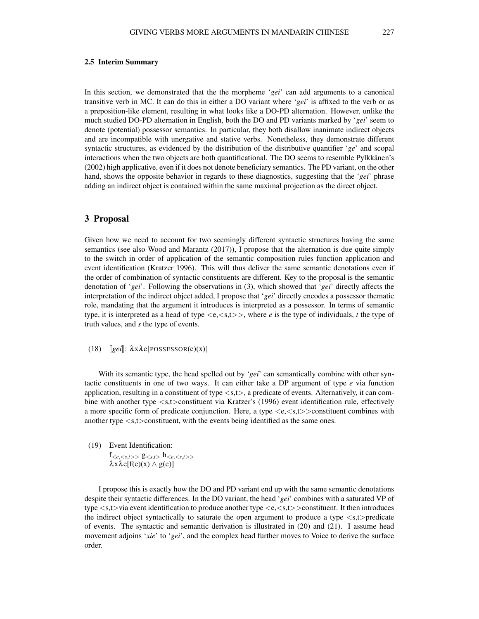#### 2.5 Interim Summary

In this section, we demonstrated that the the morpheme '*gei*' can add arguments to a canonical transitive verb in MC. It can do this in either a DO variant where '*gei*' is affixed to the verb or as a preposition-like element, resulting in what looks like a DO-PD alternation. However, unlike the much studied DO-PD alternation in English, both the DO and PD variants marked by '*gei*' seem to denote (potential) possessor semantics. In particular, they both disallow inanimate indirect objects and are incompatible with unergative and stative verbs. Nonetheless, they demonstrate different syntactic structures, as evidenced by the distribution of the distributive quantifier '*ge*' and scopal interactions when the two objects are both quantificational. The DO seems to resemble Pylkkanen's (2002) high applicative, even if it does not denote beneficiary semantics. The PD variant, on the other hand, shows the opposite behavior in regards to these diagnostics, suggesting that the '*gei*' phrase adding an indirect object is contained within the same maximal projection as the direct object.

#### 3 Proposal

Given how we need to account for two seemingly different syntactic structures having the same semantics (see also Wood and Marantz (2017)), I propose that the alternation is due quite simply to the switch in order of application of the semantic composition rules function application and event identification (Kratzer 1996). This will thus deliver the same semantic denotations even if the order of combination of syntactic constituents are different. Key to the proposal is the semantic denotation of '*gei*'. Following the observations in (3), which showed that '*gei*' directly affects the interpretation of the indirect object added, I propose that '*gei*' directly encodes a possessor thematic role, mandating that the argument it introduces is interpreted as a possessor. In terms of semantic type, it is interpreted as a head of type  $\langle e, \langle s,t \rangle \rangle$ , where *e* is the type of individuals, *t* the type of truth values, and *s* the type of events.

(18)  $\left[$ *gei* $\right]$ :  $\lambda$ x $\lambda$ e[POSSESSOR(e)(x)]

With its semantic type, the head spelled out by '*gei*' can semantically combine with other syntactic constituents in one of two ways. It can either take a DP argument of type *e* via function application, resulting in a constituent of type  $\langle s,t \rangle$ , a predicate of events. Alternatively, it can combine with another type <s,t>constituent via Kratzer's (1996) event identification rule, effectively a more specific form of predicate conjunction. Here, a type  $\langle e, \langle s, t \rangle \rangle$  constituent combines with another type <s,t>constituent, with the events being identified as the same ones.

(19) Event Identification:

 $f_{\leq e,\leq s,t>}$   $g_{\leq s,t>}$   $h_{\leq e,\leq s,t>}$  $\lambda x \lambda e[f(e)(x) \wedge g(e)]$ 

I propose this is exactly how the DO and PD variant end up with the same semantic denotations despite their syntactic differences. In the DO variant, the head '*gei*' combines with a saturated VP of type  $\langle s,t\rangle$ via event identification to produce another type  $\langle e,\langle s,t\rangle$ >constituent. It then introduces the indirect object syntactically to saturate the open argument to produce a type  $\langle s,t \rangle$ -predicate of events. The syntactic and semantic derivation is illustrated in (20) and (21). I assume head movement adjoins '*xie*' to '*gei*', and the complex head further moves to Voice to derive the surface order.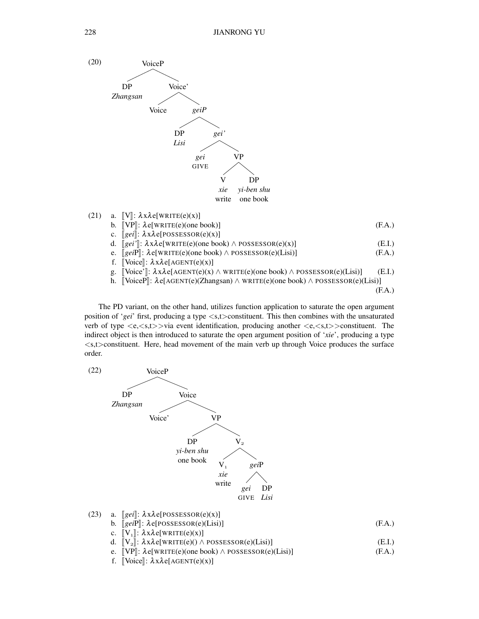

The PD variant, on the other hand, utilizes function application to saturate the open argument position of '*gei*' first, producing a type <s,t>constituent. This then combines with the unsaturated verb of type  $\langle e, \langle s,t \rangle > \text{via}$  event identification, producing another  $\langle e, \langle s,t \rangle > \text{const}$  The indirect object is then introduced to saturate the open argument position of '*xie*', producing a type  $\langle s,t \rangle$  constituent. Here, head movement of the main verb up through Voice produces the surface order.

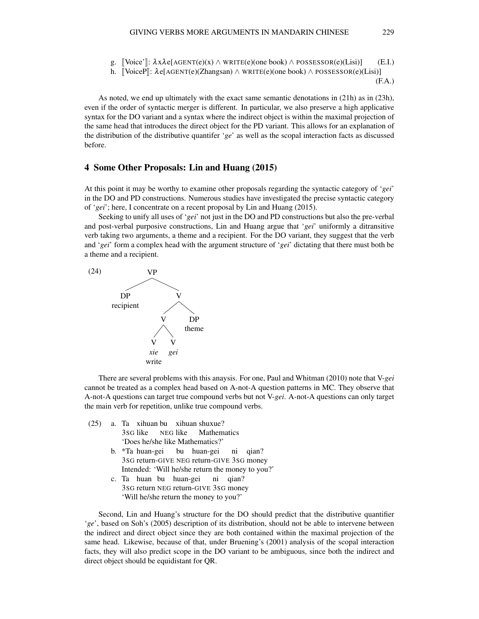g.  $\text{[Voice']}: \lambda x \lambda e[\text{AGENT}(e)(x) \wedge \text{WRITE}(e)$ (one book)  $\wedge \text{POSESSOR}(e)(\text{Lisi})$  (E.I.)

h.  $\forall$ VoiceP $\exists$ :  $\lambda$ e[AGENT(e)(Zhangsan)  $\wedge$  WRITE(e)(one book)  $\wedge$  POSSESSOR(e)(Lisi)]

(F.A.)

As noted, we end up ultimately with the exact same semantic denotations in (21h) as in (23h), even if the order of syntactic merger is different. In particular, we also preserve a high applicative syntax for the DO variant and a syntax where the indirect object is within the maximal projection of the same head that introduces the direct object for the PD variant. This allows for an explanation of the distribution of the distributive quantifer '*ge*' as well as the scopal interaction facts as discussed before.

## 4 Some Other Proposals: Lin and Huang (2015)

At this point it may be worthy to examine other proposals regarding the syntactic category of '*gei*' in the DO and PD constructions. Numerous studies have investigated the precise syntactic category of '*gei*'; here, I concentrate on a recent proposal by Lin and Huang (2015).

Seeking to unify all uses of '*gei*' not just in the DO and PD constructions but also the pre-verbal and post-verbal purposive constructions, Lin and Huang argue that '*gei*' uniformly a ditransitive verb taking two arguments, a theme and a recipient. For the DO variant, they suggest that the verb and '*gei*' form a complex head with the argument structure of '*gei*' dictating that there must both be a theme and a recipient.



There are several problems with this anaysis. For one, Paul and Whitman (2010) note that V-*gei* cannot be treated as a complex head based on A-not-A question patterns in MC. They observe that A-not-A questions can target true compound verbs but not V-*gei*. A-not-A questions can only target the main verb for repetition, unlike true compound verbs.

- (25) a. Ta xihuan bu xihuan shuxue? 3SG like NEG like **Mathematics** 'Does he/she like Mathematics?'
	- b. \*Ta huan-gei 3SG return-GIVE NEG return-GIVE 3SG money bu huan-gei ni qian? Intended: 'Will he/she return the money to you?'
	- c. Ta huan bu huan-gei 3SG return NEG return-GIVE 3SG money ni qian? 'Will he/she return the money to you?'

Second, Lin and Huang's structure for the DO should predict that the distributive quantifier '*ge*', based on Soh's (2005) description of its distribution, should not be able to intervene between the indirect and direct object since they are both contained within the maximal projection of the same head. Likewise, because of that, under Bruening's (2001) analysis of the scopal interaction facts, they will also predict scope in the DO variant to be ambiguous, since both the indirect and direct object should be equidistant for QR.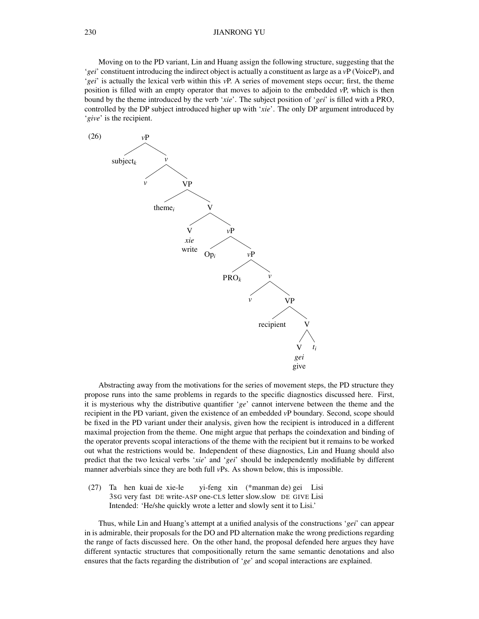#### 230 JIANRONG YU

Moving on to the PD variant, Lin and Huang assign the following structure, suggesting that the '*gei*' constituent introducing the indirect object is actually a constituent as large as a *v*P (VoiceP), and '*gei*' is actually the lexical verb within this *v*P. A series of movement steps occur; first, the theme position is filled with an empty operator that moves to adjoin to the embedded *v*P, which is then bound by the theme introduced by the verb '*xie*'. The subject position of '*gei*' is filled with a PRO, controlled by the DP subject introduced higher up with '*xie*'. The only DP argument introduced by '*give*' is the recipient.



Abstracting away from the motivations for the series of movement steps, the PD structure they propose runs into the same problems in regards to the specific diagnostics discussed here. First, it is mysterious why the distributive quantifier '*ge*' cannot intervene between the theme and the recipient in the PD variant, given the existence of an embedded *v*P boundary. Second, scope should be fixed in the PD variant under their analysis, given how the recipient is introduced in a different maximal projection from the theme. One might argue that perhaps the coindexation and binding of the operator prevents scopal interactions of the theme with the recipient but it remains to be worked out what the restrictions would be. Independent of these diagnostics, Lin and Huang should also predict that the two lexical verbs '*xie*' and '*gei*' should be independently modifiable by different manner adverbials since they are both full *v*Ps. As shown below, this is impossible.

(27) Ta hen kuai de xie-le 3SG very fast DE write-ASP one-CLS letter slow.slow DE GIVE Lisi yi-feng xin (\*manman de) gei Lisi Intended: 'He/she quickly wrote a letter and slowly sent it to Lisi.'

Thus, while Lin and Huang's attempt at a unified analysis of the constructions '*gei*' can appear in is admirable, their proposals for the DO and PD alternation make the wrong predictions regarding the range of facts discussed here. On the other hand, the proposal defended here argues they have different syntactic structures that compositionally return the same semantic denotations and also ensures that the facts regarding the distribution of '*ge*' and scopal interactions are explained.